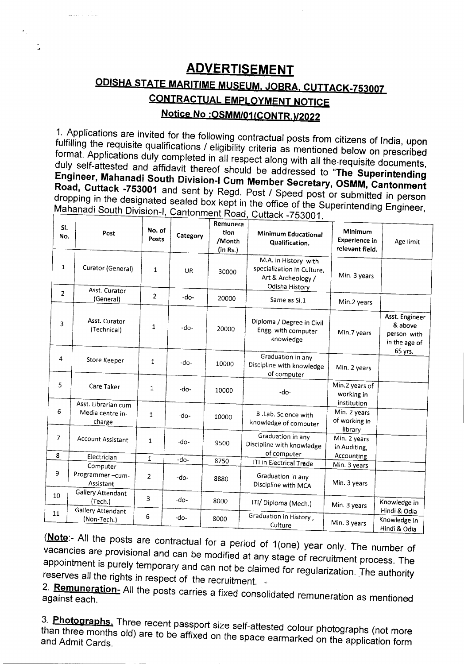# **ADVERTISEMENT ODISHA STATE MARITIME MUSEUM. JOBRA. CUTTACK-753007 CONTRACTUAL EMPLOYMENT NOTICE Notice No :OSMM/01(CONTR.)/2022**

÷,

1. Applications are invited for the following contractual posts from citizens of India, upon fulfilling the requisite qualifications / eligibility criteria as mentioned below on prescribed format. Applications duly completed in all respect along with all the·requisite documents, duly self-attested and affidavit thereof should be addressed to "The **Superintending Engineer, Mahanadi South Division-I Cum Member Secretary, OSMM, Cantonment Road, Cuttack -753001** and sent by Regd. Post / Speed post or submitted in person dropping in the designated sealed box kept in the office of the Superintending Engineer, Mahanadi South Division-I, Cantonment Road, Cuttack -753001.

| SI.<br>No.     | Post                                              | No. of<br><b>Posts</b> | Category  | Remunera<br>tion<br>/Month<br>(in Rs.) | $U$ ullach $U$ JJUU I.<br><b>Minimum Educational</b><br>Qualification.                     | Minimum<br><b>Experience in</b><br>relevant field. | Age limit                                                 |
|----------------|---------------------------------------------------|------------------------|-----------|----------------------------------------|--------------------------------------------------------------------------------------------|----------------------------------------------------|-----------------------------------------------------------|
| 1              | Curator (General)                                 | $\mathbf{1}$           | <b>UR</b> | 30000                                  | M.A. in History with<br>specialization in Culture,<br>Art & Archeology /<br>Odisha History | Min. 3 years                                       |                                                           |
| $\overline{2}$ | Asst. Curator<br>(General)                        | $\overline{2}$         | $-do-$    | 20000                                  | Same as SI.1                                                                               | Min.2 years                                        |                                                           |
| 3              | Asst. Curator<br>(Technical)                      | 1                      | $-do-$    | 20000                                  | Diploma / Degree in Civil<br>Engg. with computer<br>knowledge                              | Min.7 years                                        | Asst. Engineer<br>& above<br>person with<br>in the age of |
| 4              | Store Keeper                                      | 1                      | $-do$     | 10000                                  | Graduation in any<br>Discipline with knowledge<br>of computer                              | Min. 2 years                                       | 65 yrs.                                                   |
| 5              | Care Taker                                        | $\mathbf{1}$           | $-do-$    | 10000                                  | $-do-$                                                                                     | Min.2 years of<br>working in                       |                                                           |
| 6              | Asst. Librarian cum<br>Media centre in-<br>charge | 1                      | $-do-$    | 10000                                  | B .Lab. Science with<br>knowledge of computer                                              | institution<br>Min. 2 years<br>of working in       |                                                           |
| $\overline{7}$ | <b>Account Assistant</b>                          | 1                      | -do-      | 9500                                   | Graduation in any<br>Discipline with knowledge<br>of computer                              | library<br>Min. 2 years<br>in Auditing,            |                                                           |
| 8              | Electrician                                       | $\mathbf{1}$           | -do-      | 8750                                   | ITI in Electrical Trade                                                                    | Accounting                                         |                                                           |
| 9              | Computer<br>Programmer-cum-<br>Assistant          | 2                      | -do-      | 8880                                   | Graduation in any<br>Discipline with MCA                                                   | Min. 3 years<br>Min. 3 years                       |                                                           |
| 10             | Gallery Attendant<br>(Tech.)<br>Gallery Attendant | 3                      | $-do-$    | 8000                                   | ITI/ Diploma (Mech.)                                                                       | Min. 3 years                                       | Knowledge in<br>Hindi & Odia                              |
| 11             | (Non-Tech.)                                       | 6                      | $-do-$    | 8000                                   | Graduation in History,<br>Culture                                                          | Min. 3 years                                       | Knowledge in<br>Hindi & Odia                              |

(Note:- All the posts are contractual for a period of 1(one) year only. The number of vacancies are provisional and can be modified at any stage of recruitment process. The appointment is purely temporary and can not be claimed for regularization. The authority reserves all the rights in respect of the recruitment.

2. **Remuneration-** All the posts carries a fixed consolidated remuneration as mentioned

3. **Photographs.** Three recent passport size self-attested colour photographs (not more than three months old) are to be affixed on the space earmarked on the application form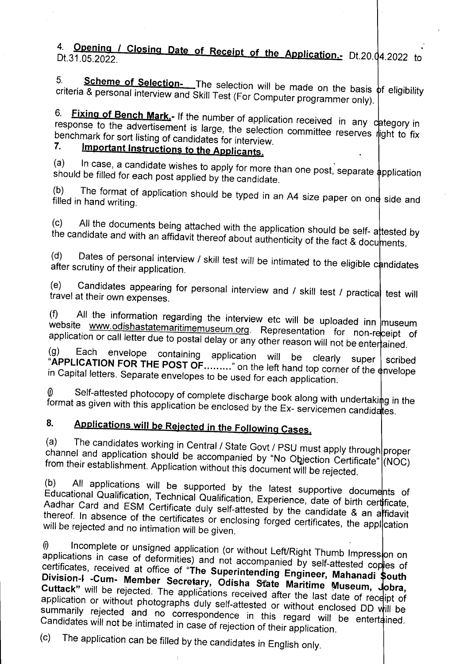4. **Opening / Closing Date of Receipt of the Application.**- Dt.20.04.2022 to

5. Scheme of Selection- The selection will be made on the basis of eligibility criteria & personal interview and Skill Test (For Computer programmer only).

<sup>o.</sup> Fixing of Bench Mark.- If the number of application received in any category in response to the advertisement is large, the selection committee reserves right to fix benchmark for sort listing of candidates for interview.<br>7. Important Instructions to the A

# Important Instructions to the Applicants.

(a) In case, a candidate wishes to apply for more than one post, separate application should be filled for each post applied by the candidate.

(b) The format of application should be typed in an A4 size paper on one side and filled in hand writing.

 $(c)$  All the documents being attached with the application should be self- attested by the candidate and with an affidavit thereof about authenticity of the fact & documents.

(d) Dates of personal interview / skill test will be intimated to the eligible candidates after scrutiny of their application.

(e) Candidates appearing for personal interview and  $\prime$  skill test  $\prime$  practica test will travel at their own expenses.

(f) All the information regarding the interview etc will be uploaded inn museum website www.odishastatemaritimemuseum.org. Representation for non-receipt of application or call letter due to postal delay or any other reason will not be entertained.

(g) Each envelope containing application will be clearly super scribed  $A$ PPLICATION FOR THE POST OF  $\ldots$  on the left hand top corner of the any elone in Capital letters. Separate envelopes to be used for each application.

 $\emptyset$  Self-attested photocopy of complete discharge book along with undertaking in the format as given with this application be enclosed by the Ex- servicemen candidates.

# 8. Applications will be Rejected in the Following Cases.

(a) The candidates working in Central / State Govt / PSU must apply through proper channel and application should be accompanied by "No Objection Certificate" (NOC) from their establishment. Application without this document will be rejected.

(b) All applications will be supported by the latest supportive documents of Educational Qualification, Technical Qualification, Experience, date of birth ce ficate, Aadhar Card and ESM Certificate duly self-attested by the candidate & an artidavit thereof. In absence of the certificates or enclosing forged certificates, the appl cation will be rejected and no intimation will be given.

(i) Incomplete or unsigned application (or without Left/Right Thumb Impression on applications in case of deformities) and not accompanied by self-attested copies of certificates, received at office of "The Superintending Engineer, Mahanadi \$outh Division-I -Cum- Member Secretary, Odisha State Maritime Museum, Jobra, Cuttack" will be rejected. The applications received after the last date of receipt of application or without photographs duly self-attested or without enclosed DD will be summarily rejected and no correspondence in this regard will be entertained. Candidates will not be intimated in case of rejection of their application.

(c) The application can be filled by the candidates in English only.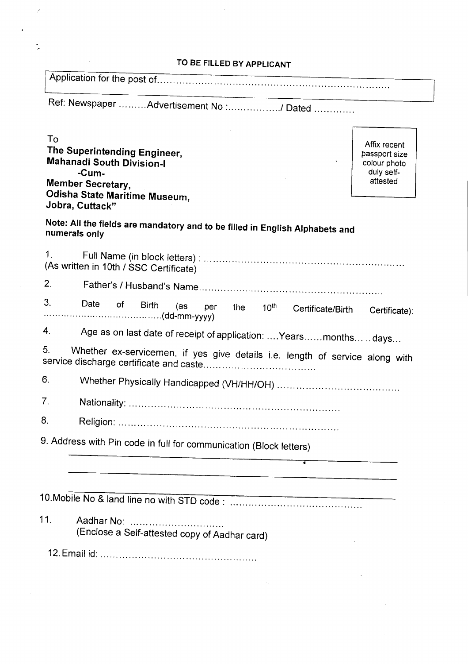# TO BE FILLED BY APPLICANT

Г

I Application for the post of '" '" '" " '" '" '" '" ..

Ref: Newspaper .........Advertisement No :................./ Dated ..............

Ī.

| To<br>The Superintending Engineer,<br><b>Mahanadi South Division-I</b><br>-Cum-                | Affix recent<br>passport size<br>colour photo<br>duly self- |
|------------------------------------------------------------------------------------------------|-------------------------------------------------------------|
| <b>Member Secretary,</b><br><b>Odisha State Maritime Museum,</b><br>Jobra, Cuttack"            | attested                                                    |
| Note: All the fields are mandatory and to be filled in English Alphabets and<br>numerals only  |                                                             |
| $\mathbf{1}$ .<br>(As written in 10th / SSC Certificate)                                       |                                                             |
| 2.                                                                                             |                                                             |
| 3.<br>Date<br>0f<br><b>Birth</b><br>(as<br>per<br>the<br>10 <sup>th</sup><br>Certificate/Birth | Certificate):                                               |
| 4.<br>Age as on last date of receipt of application:  Yearsmonths  days                        |                                                             |
| 5.<br>Whether ex-servicemen, if yes give details i.e. length of service along with             |                                                             |
| 6.                                                                                             |                                                             |
| 7.                                                                                             |                                                             |
| 8.                                                                                             |                                                             |
| 9. Address with Pin code in full for communication (Block letters)                             |                                                             |
|                                                                                                |                                                             |
|                                                                                                |                                                             |
| 11.<br>Aadhar No:<br>(Enclose a Self-attested copy of Aadhar card)                             |                                                             |
|                                                                                                |                                                             |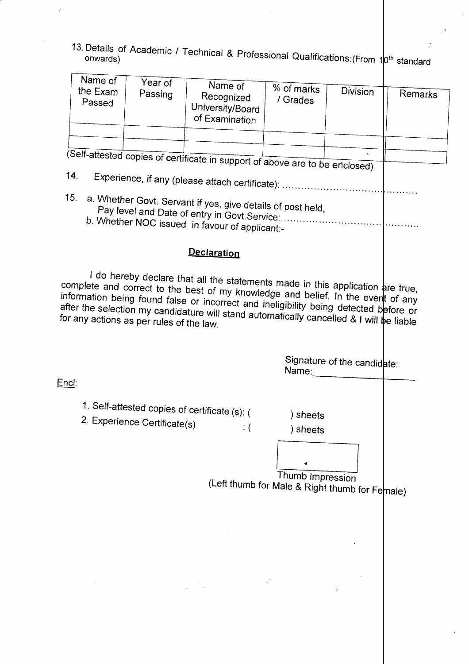13. Details of Academic / Technical & Professional Qualifications:(From 10<sup>th</sup> standard onwards)  $\ddot{\cdot}$ 

 $\hat{\boldsymbol{\beta}}$ 

 $\hat{V}$ 

|              | Name of            |                                          |                                                                                                                                                                                                                                                                                                                                                         |                                                                    |                             |         |
|--------------|--------------------|------------------------------------------|---------------------------------------------------------------------------------------------------------------------------------------------------------------------------------------------------------------------------------------------------------------------------------------------------------------------------------------------------------|--------------------------------------------------------------------|-----------------------------|---------|
|              | the Exam<br>Passed | Year of<br>Passing                       | Name of<br>Recognized<br>University/Board<br>of Examination                                                                                                                                                                                                                                                                                             | % of marks<br>/ Grades                                             | <b>Division</b>             | Remarks |
|              |                    |                                          |                                                                                                                                                                                                                                                                                                                                                         |                                                                    |                             |         |
|              |                    |                                          |                                                                                                                                                                                                                                                                                                                                                         |                                                                    |                             |         |
|              |                    |                                          | (Self-attested copies of certificate in support of above are to be enclosed)                                                                                                                                                                                                                                                                            |                                                                    |                             |         |
| 14.          |                    |                                          |                                                                                                                                                                                                                                                                                                                                                         |                                                                    |                             |         |
| 15.          |                    |                                          | a. Whether Govt. Servant if yes, give details of post held,<br>b. Whether NOC issued in favour of applicant:-                                                                                                                                                                                                                                           |                                                                    |                             |         |
|              |                    |                                          | <b>Declaration</b>                                                                                                                                                                                                                                                                                                                                      |                                                                    |                             |         |
|              |                    | for any actions as per rules of the law. | I do hereby declare that all the statements made in this application are true,<br>complete and correct to the best of my knowledge and belief. In the event of any<br>information being found false or incorrect and ineligibility being detected before or<br>after the selection my candidature will stand automatically cancelled & I will be liable |                                                                    |                             |         |
| <u>Encl:</u> |                    |                                          |                                                                                                                                                                                                                                                                                                                                                         | Name:                                                              | Signature of the candidate: |         |
|              |                    |                                          |                                                                                                                                                                                                                                                                                                                                                         |                                                                    |                             |         |
|              |                    | 2. Experience Certificate(s)             | 1. Self-attested copies of certificate (s): (<br>$\therefore$ (                                                                                                                                                                                                                                                                                         | ) sheets<br>) sheets                                               |                             |         |
|              |                    |                                          |                                                                                                                                                                                                                                                                                                                                                         | Thumb Impression<br>(Left thumb for Male & Right thumb for Female) |                             |         |
|              |                    |                                          |                                                                                                                                                                                                                                                                                                                                                         |                                                                    |                             |         |
|              |                    |                                          |                                                                                                                                                                                                                                                                                                                                                         |                                                                    |                             |         |
|              |                    |                                          |                                                                                                                                                                                                                                                                                                                                                         |                                                                    |                             |         |
|              |                    |                                          |                                                                                                                                                                                                                                                                                                                                                         |                                                                    |                             |         |

 $E$ 

 $\overline{\phantom{a}}$